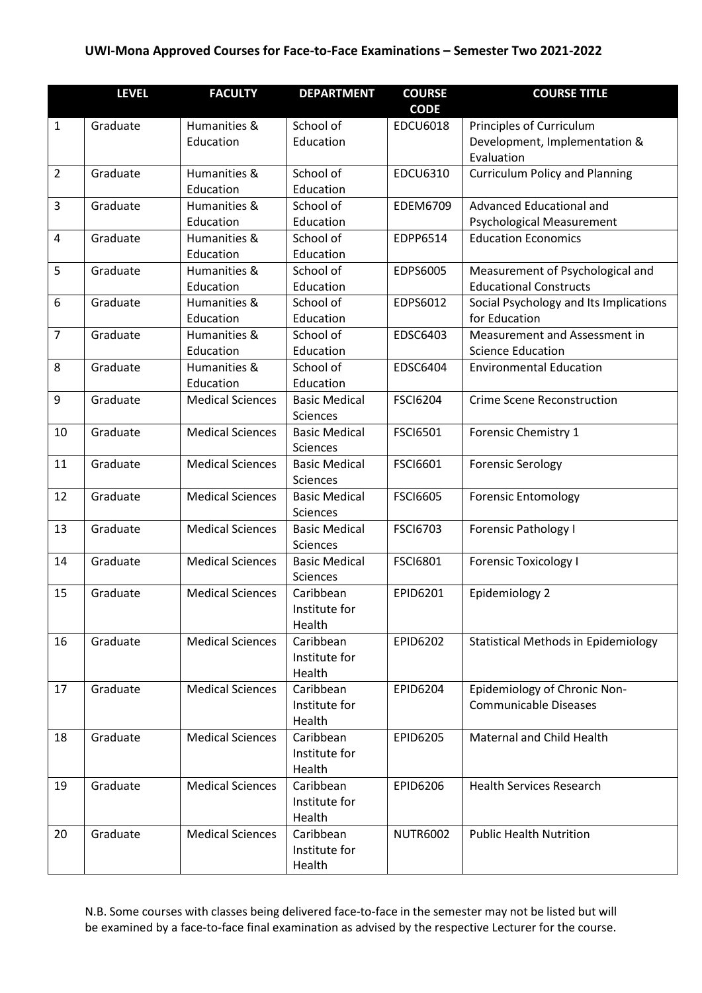| <b>CODE</b><br>Humanities &<br>School of<br>Principles of Curriculum<br>$\mathbf{1}$<br>Graduate<br><b>EDCU6018</b><br>Education<br>Education<br>Development, Implementation &<br>Evaluation<br>$\overline{2}$<br><b>Curriculum Policy and Planning</b><br>Humanities &<br>School of<br><b>EDCU6310</b><br>Graduate<br>Education<br>Education<br>3<br>School of<br><b>EDEM6709</b><br>Advanced Educational and<br>Graduate<br>Humanities &<br>Education<br>Education<br>Psychological Measurement<br>Humanities &<br>School of<br>EDPP6514<br>4<br>Graduate<br><b>Education Economics</b><br>Education<br>Education<br>5<br>School of<br>Humanities &<br>EDPS6005<br>Measurement of Psychological and<br>Graduate<br>Education<br>Education<br><b>Educational Constructs</b><br>6<br>School of<br>EDPS6012<br>Social Psychology and Its Implications<br>Graduate<br>Humanities &<br>Education<br>Education<br>for Education<br>$\overline{7}$<br>School of<br>Humanities &<br>EDSC6403<br>Measurement and Assessment in<br>Graduate<br>Education<br>Education<br><b>Science Education</b><br>8<br>School of<br>EDSC6404<br>Graduate<br>Humanities &<br><b>Environmental Education</b><br>Education<br>Education<br>9<br><b>Medical Sciences</b><br><b>Basic Medical</b><br><b>FSCI6204</b><br><b>Crime Scene Reconstruction</b><br>Graduate<br>Sciences<br><b>Medical Sciences</b><br><b>FSCI6501</b><br>10<br>Graduate<br><b>Basic Medical</b><br>Forensic Chemistry 1<br>Sciences<br><b>Medical Sciences</b><br><b>FSCI6601</b><br>11<br>Graduate<br><b>Forensic Serology</b><br><b>Basic Medical</b><br>Sciences<br>12<br><b>Medical Sciences</b><br>Graduate<br><b>Basic Medical</b><br><b>FSCI6605</b><br><b>Forensic Entomology</b><br>Sciences<br>13<br>Graduate<br><b>Medical Sciences</b><br><b>Basic Medical</b><br><b>FSCI6703</b><br><b>Forensic Pathology I</b><br>Sciences<br><b>Medical Sciences</b><br>14<br>Graduate<br><b>Basic Medical</b><br><b>FSCI6801</b><br><b>Forensic Toxicology I</b><br>Sciences<br><b>Medical Sciences</b><br>EPID6201<br>Epidemiology 2<br>15<br>Graduate<br>Caribbean<br>Institute for<br>Health<br>16<br><b>Medical Sciences</b><br>Caribbean<br>EPID6202<br><b>Statistical Methods in Epidemiology</b><br>Graduate<br>Institute for<br>Health<br><b>Medical Sciences</b><br>Caribbean<br>EPID6204<br>Epidemiology of Chronic Non-<br>17<br>Graduate<br><b>Communicable Diseases</b><br>Institute for<br>Health<br><b>Medical Sciences</b><br>Caribbean<br>Maternal and Child Health<br>18<br>Graduate<br><b>EPID6205</b><br>Institute for<br>Health<br><b>Medical Sciences</b><br>EPID6206<br>Graduate<br>Caribbean<br><b>Health Services Research</b><br>19<br>Institute for<br>Health<br><b>Medical Sciences</b><br>20<br>Graduate<br>Caribbean<br><b>NUTR6002</b><br><b>Public Health Nutrition</b><br>Institute for | <b>LEVEL</b> | <b>FACULTY</b> | <b>DEPARTMENT</b> | <b>COURSE</b> | <b>COURSE TITLE</b> |
|--------------------------------------------------------------------------------------------------------------------------------------------------------------------------------------------------------------------------------------------------------------------------------------------------------------------------------------------------------------------------------------------------------------------------------------------------------------------------------------------------------------------------------------------------------------------------------------------------------------------------------------------------------------------------------------------------------------------------------------------------------------------------------------------------------------------------------------------------------------------------------------------------------------------------------------------------------------------------------------------------------------------------------------------------------------------------------------------------------------------------------------------------------------------------------------------------------------------------------------------------------------------------------------------------------------------------------------------------------------------------------------------------------------------------------------------------------------------------------------------------------------------------------------------------------------------------------------------------------------------------------------------------------------------------------------------------------------------------------------------------------------------------------------------------------------------------------------------------------------------------------------------------------------------------------------------------------------------------------------------------------------------------------------------------------------------------------------------------------------------------------------------------------------------------------------------------------------------------------------------------------------------------------------------------------------------------------------------------------------------------------------------------------------------------------------------------------------------------------------------------------------------------------------------------------------------------------------------------------------------------------------------------------------------------------------------------------------------------------------------------------------------------------------------------------------------------------------------------------------------------|--------------|----------------|-------------------|---------------|---------------------|
|                                                                                                                                                                                                                                                                                                                                                                                                                                                                                                                                                                                                                                                                                                                                                                                                                                                                                                                                                                                                                                                                                                                                                                                                                                                                                                                                                                                                                                                                                                                                                                                                                                                                                                                                                                                                                                                                                                                                                                                                                                                                                                                                                                                                                                                                                                                                                                                                                                                                                                                                                                                                                                                                                                                                                                                                                                                                          |              |                |                   |               |                     |
|                                                                                                                                                                                                                                                                                                                                                                                                                                                                                                                                                                                                                                                                                                                                                                                                                                                                                                                                                                                                                                                                                                                                                                                                                                                                                                                                                                                                                                                                                                                                                                                                                                                                                                                                                                                                                                                                                                                                                                                                                                                                                                                                                                                                                                                                                                                                                                                                                                                                                                                                                                                                                                                                                                                                                                                                                                                                          |              |                |                   |               |                     |
|                                                                                                                                                                                                                                                                                                                                                                                                                                                                                                                                                                                                                                                                                                                                                                                                                                                                                                                                                                                                                                                                                                                                                                                                                                                                                                                                                                                                                                                                                                                                                                                                                                                                                                                                                                                                                                                                                                                                                                                                                                                                                                                                                                                                                                                                                                                                                                                                                                                                                                                                                                                                                                                                                                                                                                                                                                                                          |              |                |                   |               |                     |
|                                                                                                                                                                                                                                                                                                                                                                                                                                                                                                                                                                                                                                                                                                                                                                                                                                                                                                                                                                                                                                                                                                                                                                                                                                                                                                                                                                                                                                                                                                                                                                                                                                                                                                                                                                                                                                                                                                                                                                                                                                                                                                                                                                                                                                                                                                                                                                                                                                                                                                                                                                                                                                                                                                                                                                                                                                                                          |              |                |                   |               |                     |
|                                                                                                                                                                                                                                                                                                                                                                                                                                                                                                                                                                                                                                                                                                                                                                                                                                                                                                                                                                                                                                                                                                                                                                                                                                                                                                                                                                                                                                                                                                                                                                                                                                                                                                                                                                                                                                                                                                                                                                                                                                                                                                                                                                                                                                                                                                                                                                                                                                                                                                                                                                                                                                                                                                                                                                                                                                                                          |              |                |                   |               |                     |
|                                                                                                                                                                                                                                                                                                                                                                                                                                                                                                                                                                                                                                                                                                                                                                                                                                                                                                                                                                                                                                                                                                                                                                                                                                                                                                                                                                                                                                                                                                                                                                                                                                                                                                                                                                                                                                                                                                                                                                                                                                                                                                                                                                                                                                                                                                                                                                                                                                                                                                                                                                                                                                                                                                                                                                                                                                                                          |              |                |                   |               |                     |
|                                                                                                                                                                                                                                                                                                                                                                                                                                                                                                                                                                                                                                                                                                                                                                                                                                                                                                                                                                                                                                                                                                                                                                                                                                                                                                                                                                                                                                                                                                                                                                                                                                                                                                                                                                                                                                                                                                                                                                                                                                                                                                                                                                                                                                                                                                                                                                                                                                                                                                                                                                                                                                                                                                                                                                                                                                                                          |              |                |                   |               |                     |
|                                                                                                                                                                                                                                                                                                                                                                                                                                                                                                                                                                                                                                                                                                                                                                                                                                                                                                                                                                                                                                                                                                                                                                                                                                                                                                                                                                                                                                                                                                                                                                                                                                                                                                                                                                                                                                                                                                                                                                                                                                                                                                                                                                                                                                                                                                                                                                                                                                                                                                                                                                                                                                                                                                                                                                                                                                                                          |              |                |                   |               |                     |
|                                                                                                                                                                                                                                                                                                                                                                                                                                                                                                                                                                                                                                                                                                                                                                                                                                                                                                                                                                                                                                                                                                                                                                                                                                                                                                                                                                                                                                                                                                                                                                                                                                                                                                                                                                                                                                                                                                                                                                                                                                                                                                                                                                                                                                                                                                                                                                                                                                                                                                                                                                                                                                                                                                                                                                                                                                                                          |              |                |                   |               |                     |
|                                                                                                                                                                                                                                                                                                                                                                                                                                                                                                                                                                                                                                                                                                                                                                                                                                                                                                                                                                                                                                                                                                                                                                                                                                                                                                                                                                                                                                                                                                                                                                                                                                                                                                                                                                                                                                                                                                                                                                                                                                                                                                                                                                                                                                                                                                                                                                                                                                                                                                                                                                                                                                                                                                                                                                                                                                                                          |              |                |                   |               |                     |
|                                                                                                                                                                                                                                                                                                                                                                                                                                                                                                                                                                                                                                                                                                                                                                                                                                                                                                                                                                                                                                                                                                                                                                                                                                                                                                                                                                                                                                                                                                                                                                                                                                                                                                                                                                                                                                                                                                                                                                                                                                                                                                                                                                                                                                                                                                                                                                                                                                                                                                                                                                                                                                                                                                                                                                                                                                                                          |              |                |                   |               |                     |
|                                                                                                                                                                                                                                                                                                                                                                                                                                                                                                                                                                                                                                                                                                                                                                                                                                                                                                                                                                                                                                                                                                                                                                                                                                                                                                                                                                                                                                                                                                                                                                                                                                                                                                                                                                                                                                                                                                                                                                                                                                                                                                                                                                                                                                                                                                                                                                                                                                                                                                                                                                                                                                                                                                                                                                                                                                                                          |              |                |                   |               |                     |
|                                                                                                                                                                                                                                                                                                                                                                                                                                                                                                                                                                                                                                                                                                                                                                                                                                                                                                                                                                                                                                                                                                                                                                                                                                                                                                                                                                                                                                                                                                                                                                                                                                                                                                                                                                                                                                                                                                                                                                                                                                                                                                                                                                                                                                                                                                                                                                                                                                                                                                                                                                                                                                                                                                                                                                                                                                                                          |              |                |                   |               |                     |
|                                                                                                                                                                                                                                                                                                                                                                                                                                                                                                                                                                                                                                                                                                                                                                                                                                                                                                                                                                                                                                                                                                                                                                                                                                                                                                                                                                                                                                                                                                                                                                                                                                                                                                                                                                                                                                                                                                                                                                                                                                                                                                                                                                                                                                                                                                                                                                                                                                                                                                                                                                                                                                                                                                                                                                                                                                                                          |              |                |                   |               |                     |
|                                                                                                                                                                                                                                                                                                                                                                                                                                                                                                                                                                                                                                                                                                                                                                                                                                                                                                                                                                                                                                                                                                                                                                                                                                                                                                                                                                                                                                                                                                                                                                                                                                                                                                                                                                                                                                                                                                                                                                                                                                                                                                                                                                                                                                                                                                                                                                                                                                                                                                                                                                                                                                                                                                                                                                                                                                                                          |              |                |                   |               |                     |
|                                                                                                                                                                                                                                                                                                                                                                                                                                                                                                                                                                                                                                                                                                                                                                                                                                                                                                                                                                                                                                                                                                                                                                                                                                                                                                                                                                                                                                                                                                                                                                                                                                                                                                                                                                                                                                                                                                                                                                                                                                                                                                                                                                                                                                                                                                                                                                                                                                                                                                                                                                                                                                                                                                                                                                                                                                                                          |              |                |                   |               |                     |
|                                                                                                                                                                                                                                                                                                                                                                                                                                                                                                                                                                                                                                                                                                                                                                                                                                                                                                                                                                                                                                                                                                                                                                                                                                                                                                                                                                                                                                                                                                                                                                                                                                                                                                                                                                                                                                                                                                                                                                                                                                                                                                                                                                                                                                                                                                                                                                                                                                                                                                                                                                                                                                                                                                                                                                                                                                                                          |              |                |                   |               |                     |
|                                                                                                                                                                                                                                                                                                                                                                                                                                                                                                                                                                                                                                                                                                                                                                                                                                                                                                                                                                                                                                                                                                                                                                                                                                                                                                                                                                                                                                                                                                                                                                                                                                                                                                                                                                                                                                                                                                                                                                                                                                                                                                                                                                                                                                                                                                                                                                                                                                                                                                                                                                                                                                                                                                                                                                                                                                                                          |              |                |                   |               |                     |
|                                                                                                                                                                                                                                                                                                                                                                                                                                                                                                                                                                                                                                                                                                                                                                                                                                                                                                                                                                                                                                                                                                                                                                                                                                                                                                                                                                                                                                                                                                                                                                                                                                                                                                                                                                                                                                                                                                                                                                                                                                                                                                                                                                                                                                                                                                                                                                                                                                                                                                                                                                                                                                                                                                                                                                                                                                                                          |              |                |                   |               |                     |
|                                                                                                                                                                                                                                                                                                                                                                                                                                                                                                                                                                                                                                                                                                                                                                                                                                                                                                                                                                                                                                                                                                                                                                                                                                                                                                                                                                                                                                                                                                                                                                                                                                                                                                                                                                                                                                                                                                                                                                                                                                                                                                                                                                                                                                                                                                                                                                                                                                                                                                                                                                                                                                                                                                                                                                                                                                                                          |              |                |                   |               |                     |
|                                                                                                                                                                                                                                                                                                                                                                                                                                                                                                                                                                                                                                                                                                                                                                                                                                                                                                                                                                                                                                                                                                                                                                                                                                                                                                                                                                                                                                                                                                                                                                                                                                                                                                                                                                                                                                                                                                                                                                                                                                                                                                                                                                                                                                                                                                                                                                                                                                                                                                                                                                                                                                                                                                                                                                                                                                                                          |              |                |                   |               |                     |
|                                                                                                                                                                                                                                                                                                                                                                                                                                                                                                                                                                                                                                                                                                                                                                                                                                                                                                                                                                                                                                                                                                                                                                                                                                                                                                                                                                                                                                                                                                                                                                                                                                                                                                                                                                                                                                                                                                                                                                                                                                                                                                                                                                                                                                                                                                                                                                                                                                                                                                                                                                                                                                                                                                                                                                                                                                                                          |              |                |                   |               |                     |
|                                                                                                                                                                                                                                                                                                                                                                                                                                                                                                                                                                                                                                                                                                                                                                                                                                                                                                                                                                                                                                                                                                                                                                                                                                                                                                                                                                                                                                                                                                                                                                                                                                                                                                                                                                                                                                                                                                                                                                                                                                                                                                                                                                                                                                                                                                                                                                                                                                                                                                                                                                                                                                                                                                                                                                                                                                                                          |              |                |                   |               |                     |
|                                                                                                                                                                                                                                                                                                                                                                                                                                                                                                                                                                                                                                                                                                                                                                                                                                                                                                                                                                                                                                                                                                                                                                                                                                                                                                                                                                                                                                                                                                                                                                                                                                                                                                                                                                                                                                                                                                                                                                                                                                                                                                                                                                                                                                                                                                                                                                                                                                                                                                                                                                                                                                                                                                                                                                                                                                                                          |              |                |                   |               |                     |
|                                                                                                                                                                                                                                                                                                                                                                                                                                                                                                                                                                                                                                                                                                                                                                                                                                                                                                                                                                                                                                                                                                                                                                                                                                                                                                                                                                                                                                                                                                                                                                                                                                                                                                                                                                                                                                                                                                                                                                                                                                                                                                                                                                                                                                                                                                                                                                                                                                                                                                                                                                                                                                                                                                                                                                                                                                                                          |              |                |                   |               |                     |
|                                                                                                                                                                                                                                                                                                                                                                                                                                                                                                                                                                                                                                                                                                                                                                                                                                                                                                                                                                                                                                                                                                                                                                                                                                                                                                                                                                                                                                                                                                                                                                                                                                                                                                                                                                                                                                                                                                                                                                                                                                                                                                                                                                                                                                                                                                                                                                                                                                                                                                                                                                                                                                                                                                                                                                                                                                                                          |              |                |                   |               |                     |
|                                                                                                                                                                                                                                                                                                                                                                                                                                                                                                                                                                                                                                                                                                                                                                                                                                                                                                                                                                                                                                                                                                                                                                                                                                                                                                                                                                                                                                                                                                                                                                                                                                                                                                                                                                                                                                                                                                                                                                                                                                                                                                                                                                                                                                                                                                                                                                                                                                                                                                                                                                                                                                                                                                                                                                                                                                                                          |              |                |                   |               |                     |
|                                                                                                                                                                                                                                                                                                                                                                                                                                                                                                                                                                                                                                                                                                                                                                                                                                                                                                                                                                                                                                                                                                                                                                                                                                                                                                                                                                                                                                                                                                                                                                                                                                                                                                                                                                                                                                                                                                                                                                                                                                                                                                                                                                                                                                                                                                                                                                                                                                                                                                                                                                                                                                                                                                                                                                                                                                                                          |              |                |                   |               |                     |
|                                                                                                                                                                                                                                                                                                                                                                                                                                                                                                                                                                                                                                                                                                                                                                                                                                                                                                                                                                                                                                                                                                                                                                                                                                                                                                                                                                                                                                                                                                                                                                                                                                                                                                                                                                                                                                                                                                                                                                                                                                                                                                                                                                                                                                                                                                                                                                                                                                                                                                                                                                                                                                                                                                                                                                                                                                                                          |              |                |                   |               |                     |
|                                                                                                                                                                                                                                                                                                                                                                                                                                                                                                                                                                                                                                                                                                                                                                                                                                                                                                                                                                                                                                                                                                                                                                                                                                                                                                                                                                                                                                                                                                                                                                                                                                                                                                                                                                                                                                                                                                                                                                                                                                                                                                                                                                                                                                                                                                                                                                                                                                                                                                                                                                                                                                                                                                                                                                                                                                                                          |              |                |                   |               |                     |
|                                                                                                                                                                                                                                                                                                                                                                                                                                                                                                                                                                                                                                                                                                                                                                                                                                                                                                                                                                                                                                                                                                                                                                                                                                                                                                                                                                                                                                                                                                                                                                                                                                                                                                                                                                                                                                                                                                                                                                                                                                                                                                                                                                                                                                                                                                                                                                                                                                                                                                                                                                                                                                                                                                                                                                                                                                                                          |              |                |                   |               |                     |
|                                                                                                                                                                                                                                                                                                                                                                                                                                                                                                                                                                                                                                                                                                                                                                                                                                                                                                                                                                                                                                                                                                                                                                                                                                                                                                                                                                                                                                                                                                                                                                                                                                                                                                                                                                                                                                                                                                                                                                                                                                                                                                                                                                                                                                                                                                                                                                                                                                                                                                                                                                                                                                                                                                                                                                                                                                                                          |              |                |                   |               |                     |
|                                                                                                                                                                                                                                                                                                                                                                                                                                                                                                                                                                                                                                                                                                                                                                                                                                                                                                                                                                                                                                                                                                                                                                                                                                                                                                                                                                                                                                                                                                                                                                                                                                                                                                                                                                                                                                                                                                                                                                                                                                                                                                                                                                                                                                                                                                                                                                                                                                                                                                                                                                                                                                                                                                                                                                                                                                                                          |              |                |                   |               |                     |
|                                                                                                                                                                                                                                                                                                                                                                                                                                                                                                                                                                                                                                                                                                                                                                                                                                                                                                                                                                                                                                                                                                                                                                                                                                                                                                                                                                                                                                                                                                                                                                                                                                                                                                                                                                                                                                                                                                                                                                                                                                                                                                                                                                                                                                                                                                                                                                                                                                                                                                                                                                                                                                                                                                                                                                                                                                                                          |              |                |                   |               |                     |
|                                                                                                                                                                                                                                                                                                                                                                                                                                                                                                                                                                                                                                                                                                                                                                                                                                                                                                                                                                                                                                                                                                                                                                                                                                                                                                                                                                                                                                                                                                                                                                                                                                                                                                                                                                                                                                                                                                                                                                                                                                                                                                                                                                                                                                                                                                                                                                                                                                                                                                                                                                                                                                                                                                                                                                                                                                                                          |              |                |                   |               |                     |
|                                                                                                                                                                                                                                                                                                                                                                                                                                                                                                                                                                                                                                                                                                                                                                                                                                                                                                                                                                                                                                                                                                                                                                                                                                                                                                                                                                                                                                                                                                                                                                                                                                                                                                                                                                                                                                                                                                                                                                                                                                                                                                                                                                                                                                                                                                                                                                                                                                                                                                                                                                                                                                                                                                                                                                                                                                                                          |              |                |                   |               |                     |
|                                                                                                                                                                                                                                                                                                                                                                                                                                                                                                                                                                                                                                                                                                                                                                                                                                                                                                                                                                                                                                                                                                                                                                                                                                                                                                                                                                                                                                                                                                                                                                                                                                                                                                                                                                                                                                                                                                                                                                                                                                                                                                                                                                                                                                                                                                                                                                                                                                                                                                                                                                                                                                                                                                                                                                                                                                                                          |              |                |                   |               |                     |
|                                                                                                                                                                                                                                                                                                                                                                                                                                                                                                                                                                                                                                                                                                                                                                                                                                                                                                                                                                                                                                                                                                                                                                                                                                                                                                                                                                                                                                                                                                                                                                                                                                                                                                                                                                                                                                                                                                                                                                                                                                                                                                                                                                                                                                                                                                                                                                                                                                                                                                                                                                                                                                                                                                                                                                                                                                                                          |              |                |                   |               |                     |
|                                                                                                                                                                                                                                                                                                                                                                                                                                                                                                                                                                                                                                                                                                                                                                                                                                                                                                                                                                                                                                                                                                                                                                                                                                                                                                                                                                                                                                                                                                                                                                                                                                                                                                                                                                                                                                                                                                                                                                                                                                                                                                                                                                                                                                                                                                                                                                                                                                                                                                                                                                                                                                                                                                                                                                                                                                                                          |              |                |                   |               |                     |
|                                                                                                                                                                                                                                                                                                                                                                                                                                                                                                                                                                                                                                                                                                                                                                                                                                                                                                                                                                                                                                                                                                                                                                                                                                                                                                                                                                                                                                                                                                                                                                                                                                                                                                                                                                                                                                                                                                                                                                                                                                                                                                                                                                                                                                                                                                                                                                                                                                                                                                                                                                                                                                                                                                                                                                                                                                                                          |              |                |                   |               |                     |
|                                                                                                                                                                                                                                                                                                                                                                                                                                                                                                                                                                                                                                                                                                                                                                                                                                                                                                                                                                                                                                                                                                                                                                                                                                                                                                                                                                                                                                                                                                                                                                                                                                                                                                                                                                                                                                                                                                                                                                                                                                                                                                                                                                                                                                                                                                                                                                                                                                                                                                                                                                                                                                                                                                                                                                                                                                                                          |              |                |                   |               |                     |
|                                                                                                                                                                                                                                                                                                                                                                                                                                                                                                                                                                                                                                                                                                                                                                                                                                                                                                                                                                                                                                                                                                                                                                                                                                                                                                                                                                                                                                                                                                                                                                                                                                                                                                                                                                                                                                                                                                                                                                                                                                                                                                                                                                                                                                                                                                                                                                                                                                                                                                                                                                                                                                                                                                                                                                                                                                                                          |              |                |                   |               |                     |
|                                                                                                                                                                                                                                                                                                                                                                                                                                                                                                                                                                                                                                                                                                                                                                                                                                                                                                                                                                                                                                                                                                                                                                                                                                                                                                                                                                                                                                                                                                                                                                                                                                                                                                                                                                                                                                                                                                                                                                                                                                                                                                                                                                                                                                                                                                                                                                                                                                                                                                                                                                                                                                                                                                                                                                                                                                                                          |              |                |                   |               |                     |
|                                                                                                                                                                                                                                                                                                                                                                                                                                                                                                                                                                                                                                                                                                                                                                                                                                                                                                                                                                                                                                                                                                                                                                                                                                                                                                                                                                                                                                                                                                                                                                                                                                                                                                                                                                                                                                                                                                                                                                                                                                                                                                                                                                                                                                                                                                                                                                                                                                                                                                                                                                                                                                                                                                                                                                                                                                                                          |              |                |                   |               |                     |
|                                                                                                                                                                                                                                                                                                                                                                                                                                                                                                                                                                                                                                                                                                                                                                                                                                                                                                                                                                                                                                                                                                                                                                                                                                                                                                                                                                                                                                                                                                                                                                                                                                                                                                                                                                                                                                                                                                                                                                                                                                                                                                                                                                                                                                                                                                                                                                                                                                                                                                                                                                                                                                                                                                                                                                                                                                                                          |              |                |                   |               |                     |
|                                                                                                                                                                                                                                                                                                                                                                                                                                                                                                                                                                                                                                                                                                                                                                                                                                                                                                                                                                                                                                                                                                                                                                                                                                                                                                                                                                                                                                                                                                                                                                                                                                                                                                                                                                                                                                                                                                                                                                                                                                                                                                                                                                                                                                                                                                                                                                                                                                                                                                                                                                                                                                                                                                                                                                                                                                                                          |              |                | Health            |               |                     |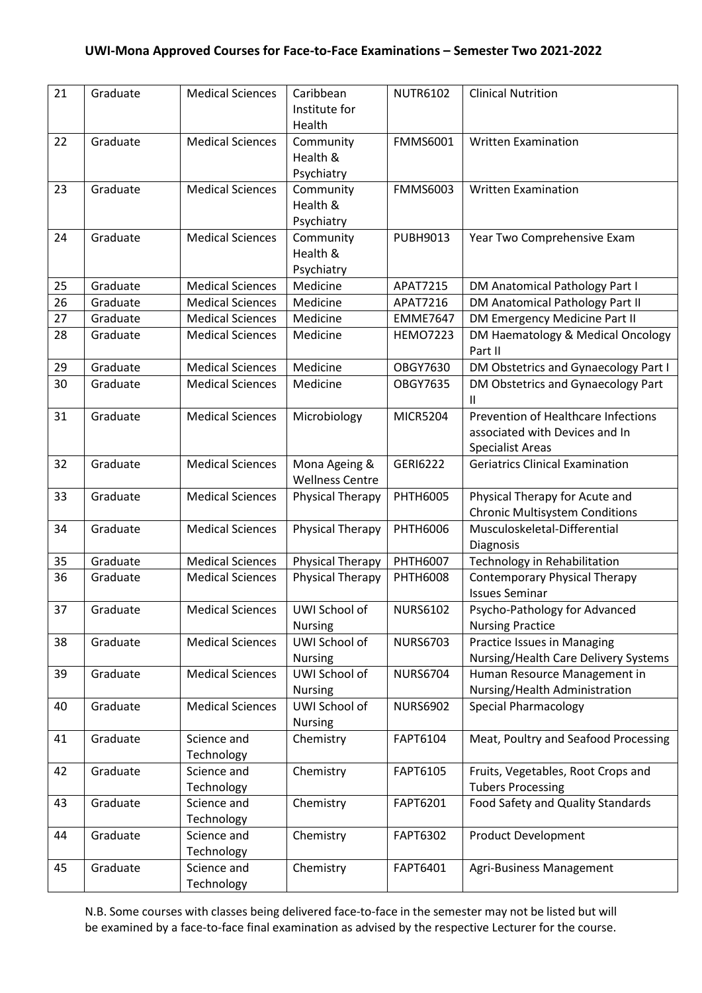| 21 | Graduate | <b>Medical Sciences</b>   | Caribbean<br>Institute for<br>Health    | <b>NUTR6102</b> | <b>Clinical Nutrition</b>                                                                        |
|----|----------|---------------------------|-----------------------------------------|-----------------|--------------------------------------------------------------------------------------------------|
| 22 | Graduate | <b>Medical Sciences</b>   | Community<br>Health &<br>Psychiatry     | <b>FMMS6001</b> | <b>Written Examination</b>                                                                       |
| 23 | Graduate | <b>Medical Sciences</b>   | Community<br>Health &<br>Psychiatry     | <b>FMMS6003</b> | <b>Written Examination</b>                                                                       |
| 24 | Graduate | <b>Medical Sciences</b>   | Community<br>Health &<br>Psychiatry     | PUBH9013        | Year Two Comprehensive Exam                                                                      |
| 25 | Graduate | <b>Medical Sciences</b>   | Medicine                                | APAT7215        | DM Anatomical Pathology Part I                                                                   |
| 26 | Graduate | <b>Medical Sciences</b>   | Medicine                                | APAT7216        | DM Anatomical Pathology Part II                                                                  |
| 27 | Graduate | <b>Medical Sciences</b>   | Medicine                                | <b>EMME7647</b> | DM Emergency Medicine Part II                                                                    |
| 28 | Graduate | <b>Medical Sciences</b>   | Medicine                                | <b>HEMO7223</b> | DM Haematology & Medical Oncology<br>Part II                                                     |
| 29 | Graduate | <b>Medical Sciences</b>   | Medicine                                | <b>OBGY7630</b> | DM Obstetrics and Gynaecology Part I                                                             |
| 30 | Graduate | <b>Medical Sciences</b>   | Medicine                                | <b>OBGY7635</b> | DM Obstetrics and Gynaecology Part<br>Ш                                                          |
| 31 | Graduate | <b>Medical Sciences</b>   | Microbiology                            | <b>MICR5204</b> | Prevention of Healthcare Infections<br>associated with Devices and In<br><b>Specialist Areas</b> |
| 32 | Graduate | <b>Medical Sciences</b>   | Mona Ageing &<br><b>Wellness Centre</b> | <b>GERI6222</b> | <b>Geriatrics Clinical Examination</b>                                                           |
| 33 | Graduate | <b>Medical Sciences</b>   | Physical Therapy                        | <b>PHTH6005</b> | Physical Therapy for Acute and<br><b>Chronic Multisystem Conditions</b>                          |
| 34 | Graduate | <b>Medical Sciences</b>   | Physical Therapy                        | <b>PHTH6006</b> | Musculoskeletal-Differential<br>Diagnosis                                                        |
| 35 | Graduate | <b>Medical Sciences</b>   | <b>Physical Therapy</b>                 | <b>PHTH6007</b> | Technology in Rehabilitation                                                                     |
| 36 | Graduate | <b>Medical Sciences</b>   | Physical Therapy                        | <b>PHTH6008</b> | <b>Contemporary Physical Therapy</b><br><b>Issues Seminar</b>                                    |
| 37 | Graduate | <b>Medical Sciences</b>   | UWI School of<br><b>Nursing</b>         | <b>NURS6102</b> | Psycho-Pathology for Advanced<br><b>Nursing Practice</b>                                         |
| 38 | Graduate | <b>Medical Sciences</b>   | UWI School of<br><b>Nursing</b>         | <b>NURS6703</b> | Practice Issues in Managing<br>Nursing/Health Care Delivery Systems                              |
| 39 | Graduate | <b>Medical Sciences</b>   | UWI School of<br><b>Nursing</b>         | <b>NURS6704</b> | Human Resource Management in<br>Nursing/Health Administration                                    |
| 40 | Graduate | <b>Medical Sciences</b>   | UWI School of<br><b>Nursing</b>         | <b>NURS6902</b> | <b>Special Pharmacology</b>                                                                      |
| 41 | Graduate | Science and<br>Technology | Chemistry                               | FAPT6104        | Meat, Poultry and Seafood Processing                                                             |
| 42 | Graduate | Science and<br>Technology | Chemistry                               | FAPT6105        | Fruits, Vegetables, Root Crops and<br><b>Tubers Processing</b>                                   |
| 43 | Graduate | Science and<br>Technology | Chemistry                               | FAPT6201        | Food Safety and Quality Standards                                                                |
| 44 | Graduate | Science and<br>Technology | Chemistry                               | FAPT6302        | <b>Product Development</b>                                                                       |
| 45 | Graduate | Science and<br>Technology | Chemistry                               | FAPT6401        | Agri-Business Management                                                                         |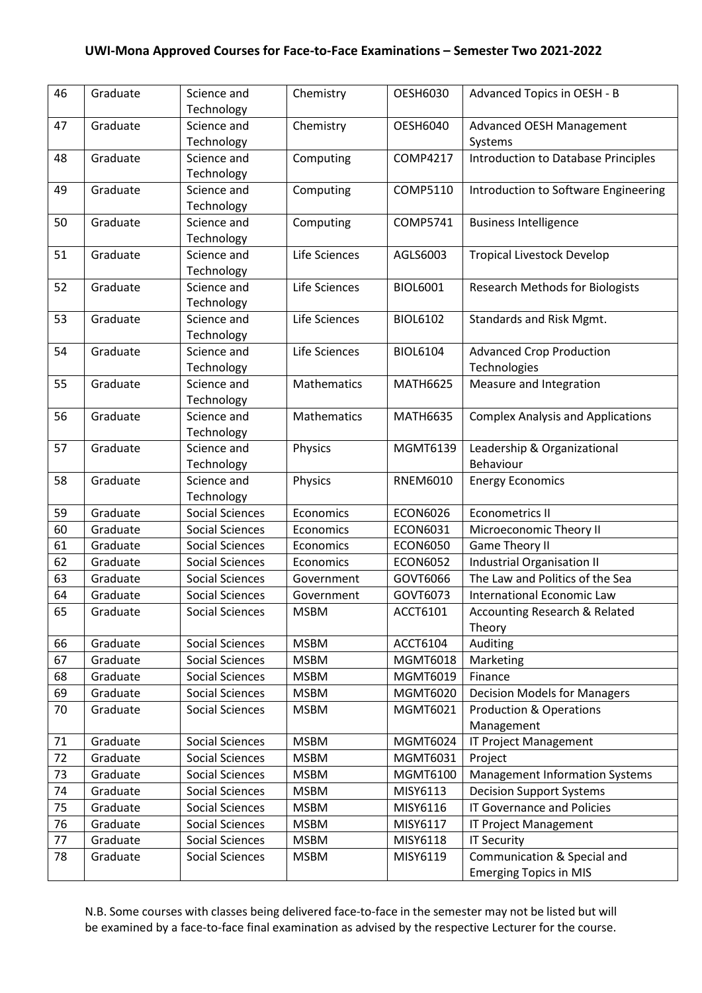| 46 | Graduate | Science and<br>Technology | Chemistry     | <b>OESH6030</b> | Advanced Topics in OESH - B                |
|----|----------|---------------------------|---------------|-----------------|--------------------------------------------|
| 47 | Graduate | Science and               | Chemistry     | <b>OESH6040</b> | <b>Advanced OESH Management</b>            |
|    |          | Technology                |               |                 | Systems                                    |
| 48 | Graduate | Science and               | Computing     | <b>COMP4217</b> | <b>Introduction to Database Principles</b> |
|    |          | Technology                |               |                 |                                            |
| 49 | Graduate | Science and               | Computing     | COMP5110        | Introduction to Software Engineering       |
|    |          | Technology                |               |                 |                                            |
| 50 | Graduate | Science and               | Computing     | <b>COMP5741</b> | <b>Business Intelligence</b>               |
|    |          | Technology                |               |                 |                                            |
| 51 | Graduate | Science and               | Life Sciences | AGLS6003        | <b>Tropical Livestock Develop</b>          |
|    |          | Technology                |               |                 |                                            |
| 52 | Graduate | Science and               | Life Sciences | <b>BIOL6001</b> | <b>Research Methods for Biologists</b>     |
|    |          | Technology                |               |                 |                                            |
| 53 | Graduate | Science and               | Life Sciences | <b>BIOL6102</b> | Standards and Risk Mgmt.                   |
|    |          | Technology                |               |                 |                                            |
| 54 | Graduate | Science and               | Life Sciences | <b>BIOL6104</b> | <b>Advanced Crop Production</b>            |
|    |          | Technology                |               |                 | Technologies                               |
| 55 | Graduate | Science and               | Mathematics   | <b>MATH6625</b> | Measure and Integration                    |
|    |          | Technology                |               |                 |                                            |
| 56 | Graduate | Science and               | Mathematics   | <b>MATH6635</b> | <b>Complex Analysis and Applications</b>   |
|    |          | Technology                |               |                 |                                            |
| 57 | Graduate | Science and               | Physics       | MGMT6139        | Leadership & Organizational                |
|    |          | Technology                |               |                 | Behaviour                                  |
| 58 | Graduate | Science and               | Physics       | <b>RNEM6010</b> | <b>Energy Economics</b>                    |
|    |          | Technology                |               |                 |                                            |
| 59 | Graduate | <b>Social Sciences</b>    | Economics     | <b>ECON6026</b> | <b>Econometrics II</b>                     |
| 60 | Graduate | <b>Social Sciences</b>    | Economics     | <b>ECON6031</b> | Microeconomic Theory II                    |
| 61 | Graduate | <b>Social Sciences</b>    | Economics     | <b>ECON6050</b> | <b>Game Theory II</b>                      |
| 62 | Graduate | <b>Social Sciences</b>    | Economics     | <b>ECON6052</b> | <b>Industrial Organisation II</b>          |
| 63 | Graduate | <b>Social Sciences</b>    | Government    | GOVT6066        | The Law and Politics of the Sea            |
| 64 | Graduate | <b>Social Sciences</b>    | Government    | GOVT6073        | International Economic Law                 |
| 65 | Graduate | <b>Social Sciences</b>    | <b>MSBM</b>   | ACCT6101        | Accounting Research & Related              |
|    |          |                           |               |                 | Theory                                     |
| 66 | Graduate | Social Sciences           | <b>MSBM</b>   | ACCT6104        | Auditing                                   |
| 67 | Graduate | <b>Social Sciences</b>    | <b>MSBM</b>   | MGMT6018        | Marketing                                  |
| 68 | Graduate | Social Sciences           | <b>MSBM</b>   | MGMT6019        | Finance                                    |
| 69 | Graduate | <b>Social Sciences</b>    | <b>MSBM</b>   | <b>MGMT6020</b> | <b>Decision Models for Managers</b>        |
| 70 | Graduate | <b>Social Sciences</b>    | <b>MSBM</b>   | MGMT6021        | <b>Production &amp; Operations</b>         |
|    |          |                           |               |                 | Management                                 |
| 71 | Graduate | Social Sciences           | <b>MSBM</b>   | MGMT6024        | IT Project Management                      |
| 72 | Graduate | Social Sciences           | <b>MSBM</b>   | MGMT6031        | Project                                    |
| 73 | Graduate | Social Sciences           | <b>MSBM</b>   | MGMT6100        | <b>Management Information Systems</b>      |
| 74 | Graduate | <b>Social Sciences</b>    | <b>MSBM</b>   | MISY6113        | <b>Decision Support Systems</b>            |
| 75 | Graduate | Social Sciences           | <b>MSBM</b>   | MISY6116        | <b>IT Governance and Policies</b>          |
| 76 | Graduate | <b>Social Sciences</b>    | <b>MSBM</b>   | MISY6117        | <b>IT Project Management</b>               |
| 77 | Graduate | Social Sciences           | <b>MSBM</b>   | MISY6118        | <b>IT Security</b>                         |
| 78 | Graduate | Social Sciences           | <b>MSBM</b>   | MISY6119        | Communication & Special and                |
|    |          |                           |               |                 | <b>Emerging Topics in MIS</b>              |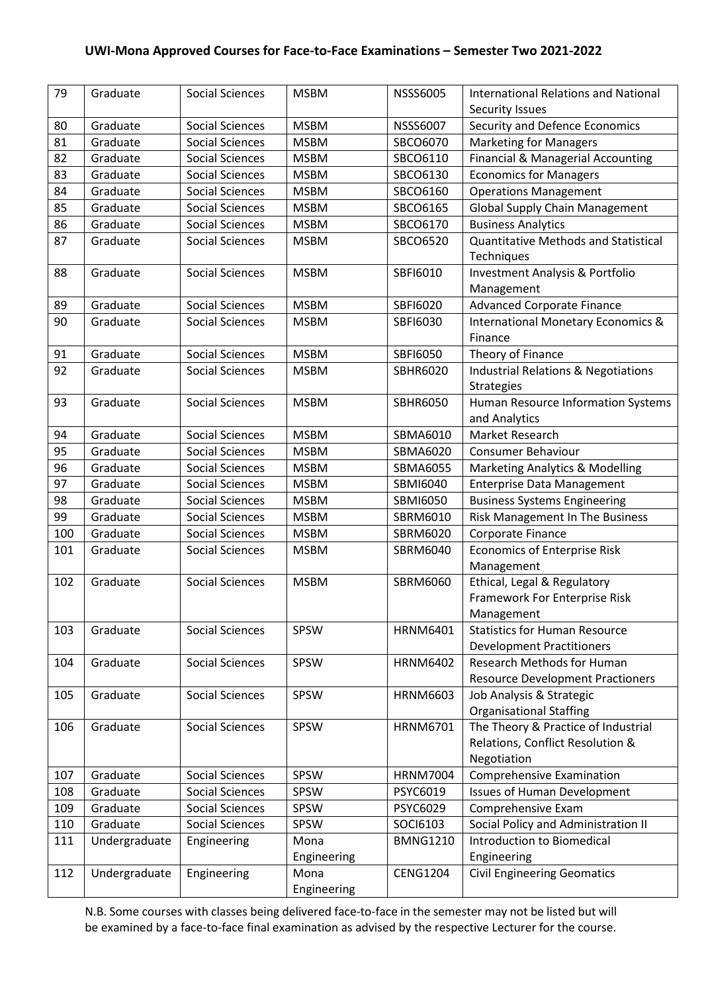| 79  | Graduate      | <b>Social Sciences</b> | <b>MSBM</b> | <b>NSSS6005</b> | <b>International Relations and National</b>               |
|-----|---------------|------------------------|-------------|-----------------|-----------------------------------------------------------|
|     |               |                        |             |                 | <b>Security Issues</b>                                    |
| 80  | Graduate      | <b>Social Sciences</b> | <b>MSBM</b> | <b>NSSS6007</b> | Security and Defence Economics                            |
| 81  | Graduate      | <b>Social Sciences</b> | <b>MSBM</b> | SBCO6070        | <b>Marketing for Managers</b>                             |
| 82  | Graduate      | <b>Social Sciences</b> | <b>MSBM</b> | SBCO6110        | Financial & Managerial Accounting                         |
| 83  | Graduate      | <b>Social Sciences</b> | <b>MSBM</b> | SBCO6130        | <b>Economics for Managers</b>                             |
| 84  | Graduate      | <b>Social Sciences</b> | <b>MSBM</b> | SBCO6160        | <b>Operations Management</b>                              |
| 85  | Graduate      | <b>Social Sciences</b> | <b>MSBM</b> | SBCO6165        | <b>Global Supply Chain Management</b>                     |
| 86  | Graduate      | <b>Social Sciences</b> | <b>MSBM</b> | SBCO6170        | <b>Business Analytics</b>                                 |
| 87  | Graduate      | <b>Social Sciences</b> | <b>MSBM</b> | SBCO6520        | <b>Quantitative Methods and Statistical</b><br>Techniques |
| 88  | Graduate      | <b>Social Sciences</b> | <b>MSBM</b> | SBFI6010        | <b>Investment Analysis &amp; Portfolio</b><br>Management  |
| 89  | Graduate      | <b>Social Sciences</b> | <b>MSBM</b> | SBFI6020        | <b>Advanced Corporate Finance</b>                         |
| 90  | Graduate      | <b>Social Sciences</b> | <b>MSBM</b> | SBFI6030        | <b>International Monetary Economics &amp;</b>             |
|     |               |                        |             |                 | Finance                                                   |
| 91  | Graduate      | <b>Social Sciences</b> | <b>MSBM</b> | <b>SBFI6050</b> | Theory of Finance                                         |
| 92  | Graduate      | <b>Social Sciences</b> | <b>MSBM</b> | SBHR6020        | <b>Industrial Relations &amp; Negotiations</b>            |
|     |               |                        |             |                 | <b>Strategies</b>                                         |
| 93  | Graduate      | <b>Social Sciences</b> | <b>MSBM</b> | <b>SBHR6050</b> | Human Resource Information Systems                        |
|     |               |                        |             |                 | and Analytics                                             |
| 94  | Graduate      | <b>Social Sciences</b> | <b>MSBM</b> | SBMA6010        | Market Research                                           |
| 95  | Graduate      | <b>Social Sciences</b> | <b>MSBM</b> | SBMA6020        | <b>Consumer Behaviour</b>                                 |
| 96  | Graduate      | <b>Social Sciences</b> | <b>MSBM</b> | <b>SBMA6055</b> | <b>Marketing Analytics &amp; Modelling</b>                |
| 97  | Graduate      | <b>Social Sciences</b> | <b>MSBM</b> | SBMI6040        | <b>Enterprise Data Management</b>                         |
| 98  | Graduate      | <b>Social Sciences</b> | <b>MSBM</b> | SBMI6050        | <b>Business Systems Engineering</b>                       |
| 99  | Graduate      | <b>Social Sciences</b> | <b>MSBM</b> | SBRM6010        | Risk Management In The Business                           |
| 100 | Graduate      | <b>Social Sciences</b> | <b>MSBM</b> | SBRM6020        | Corporate Finance                                         |
| 101 | Graduate      | <b>Social Sciences</b> | <b>MSBM</b> | SBRM6040        | <b>Economics of Enterprise Risk</b>                       |
|     |               |                        |             |                 | Management                                                |
| 102 | Graduate      | <b>Social Sciences</b> | <b>MSBM</b> | SBRM6060        | Ethical, Legal & Regulatory                               |
|     |               |                        |             |                 | Framework For Enterprise Risk                             |
|     |               |                        |             |                 | Management                                                |
| 103 | Graduate      | <b>Social Sciences</b> | SPSW        | <b>HRNM6401</b> | <b>Statistics for Human Resource</b>                      |
|     |               |                        |             |                 | <b>Development Practitioners</b>                          |
| 104 | Graduate      | <b>Social Sciences</b> | SPSW        | <b>HRNM6402</b> | Research Methods for Human                                |
|     |               |                        |             |                 | <b>Resource Development Practioners</b>                   |
| 105 | Graduate      | <b>Social Sciences</b> | SPSW        | <b>HRNM6603</b> | Job Analysis & Strategic                                  |
|     |               |                        |             |                 | <b>Organisational Staffing</b>                            |
| 106 | Graduate      | <b>Social Sciences</b> | SPSW        | <b>HRNM6701</b> | The Theory & Practice of Industrial                       |
|     |               |                        |             |                 | Relations, Conflict Resolution &                          |
|     |               |                        |             |                 | Negotiation                                               |
| 107 | Graduate      | <b>Social Sciences</b> | SPSW        | <b>HRNM7004</b> | <b>Comprehensive Examination</b>                          |
| 108 | Graduate      | <b>Social Sciences</b> | SPSW        | PSYC6019        | <b>Issues of Human Development</b>                        |
| 109 | Graduate      | Social Sciences        | SPSW        | PSYC6029        | Comprehensive Exam                                        |
| 110 | Graduate      | <b>Social Sciences</b> | SPSW        | SOCI6103        | Social Policy and Administration II                       |
| 111 | Undergraduate | Engineering            | Mona        | <b>BMNG1210</b> | Introduction to Biomedical                                |
|     |               |                        | Engineering |                 | Engineering                                               |
| 112 | Undergraduate | Engineering            | Mona        | <b>CENG1204</b> | <b>Civil Engineering Geomatics</b>                        |
|     |               |                        | Engineering |                 |                                                           |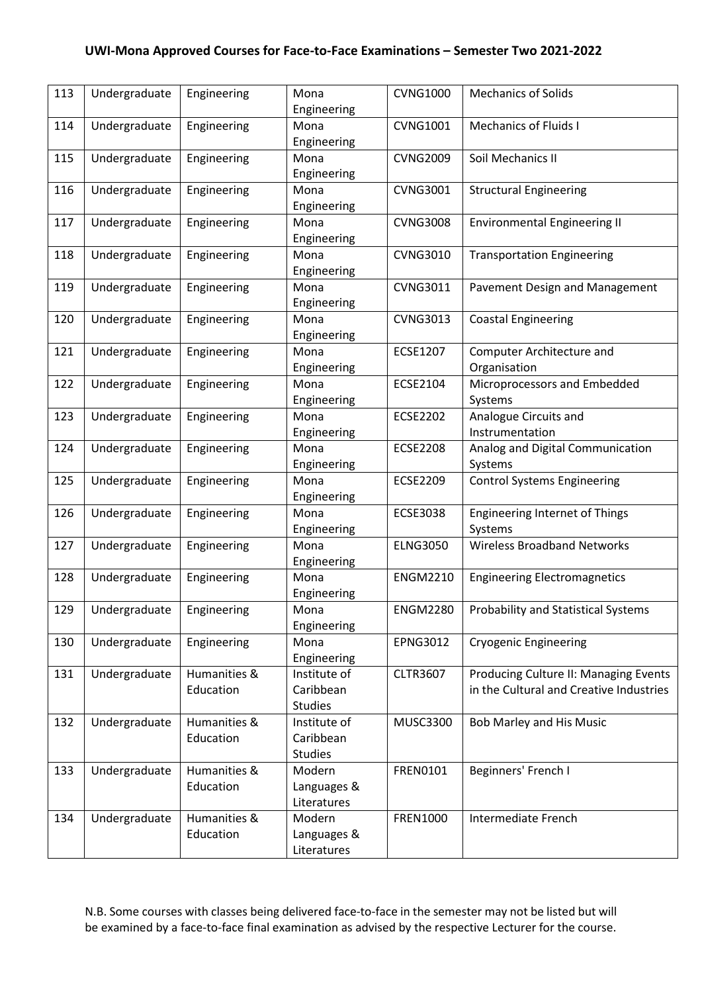| 113 | Undergraduate | Engineering               | Mona<br>Engineering                         | <b>CVNG1000</b> | <b>Mechanics of Solids</b>                                                       |
|-----|---------------|---------------------------|---------------------------------------------|-----------------|----------------------------------------------------------------------------------|
| 114 | Undergraduate | Engineering               | Mona<br>Engineering                         | <b>CVNG1001</b> | <b>Mechanics of Fluids I</b>                                                     |
| 115 | Undergraduate | Engineering               | Mona<br>Engineering                         | <b>CVNG2009</b> | Soil Mechanics II                                                                |
| 116 | Undergraduate | Engineering               | Mona<br>Engineering                         | <b>CVNG3001</b> | <b>Structural Engineering</b>                                                    |
| 117 | Undergraduate | Engineering               | Mona<br>Engineering                         | <b>CVNG3008</b> | <b>Environmental Engineering II</b>                                              |
| 118 | Undergraduate | Engineering               | Mona<br>Engineering                         | <b>CVNG3010</b> | <b>Transportation Engineering</b>                                                |
| 119 | Undergraduate | Engineering               | Mona<br>Engineering                         | <b>CVNG3011</b> | Pavement Design and Management                                                   |
| 120 | Undergraduate | Engineering               | Mona<br>Engineering                         | <b>CVNG3013</b> | <b>Coastal Engineering</b>                                                       |
| 121 | Undergraduate | Engineering               | Mona<br>Engineering                         | ECSE1207        | Computer Architecture and<br>Organisation                                        |
| 122 | Undergraduate | Engineering               | Mona<br>Engineering                         | ECSE2104        | Microprocessors and Embedded<br>Systems                                          |
| 123 | Undergraduate | Engineering               | Mona<br>Engineering                         | <b>ECSE2202</b> | Analogue Circuits and<br>Instrumentation                                         |
| 124 | Undergraduate | Engineering               | Mona<br>Engineering                         | <b>ECSE2208</b> | Analog and Digital Communication<br>Systems                                      |
| 125 | Undergraduate | Engineering               | Mona<br>Engineering                         | <b>ECSE2209</b> | <b>Control Systems Engineering</b>                                               |
| 126 | Undergraduate | Engineering               | Mona<br>Engineering                         | <b>ECSE3038</b> | <b>Engineering Internet of Things</b><br>Systems                                 |
| 127 | Undergraduate | Engineering               | Mona<br>Engineering                         | <b>ELNG3050</b> | <b>Wireless Broadband Networks</b>                                               |
| 128 | Undergraduate | Engineering               | Mona<br>Engineering                         | <b>ENGM2210</b> | <b>Engineering Electromagnetics</b>                                              |
| 129 | Undergraduate | Engineering               | Mona<br>Engineering                         | <b>ENGM2280</b> | <b>Probability and Statistical Systems</b>                                       |
| 130 | Undergraduate | Engineering               | Mona<br>Engineering                         | <b>EPNG3012</b> | <b>Cryogenic Engineering</b>                                                     |
| 131 | Undergraduate | Humanities &<br>Education | Institute of<br>Caribbean<br><b>Studies</b> | <b>CLTR3607</b> | Producing Culture II: Managing Events<br>in the Cultural and Creative Industries |
| 132 | Undergraduate | Humanities &<br>Education | Institute of<br>Caribbean<br><b>Studies</b> | <b>MUSC3300</b> | Bob Marley and His Music                                                         |
| 133 | Undergraduate | Humanities &<br>Education | Modern<br>Languages &<br>Literatures        | FREN0101        | Beginners' French I                                                              |
| 134 | Undergraduate | Humanities &<br>Education | Modern<br>Languages &<br>Literatures        | FREN1000        | Intermediate French                                                              |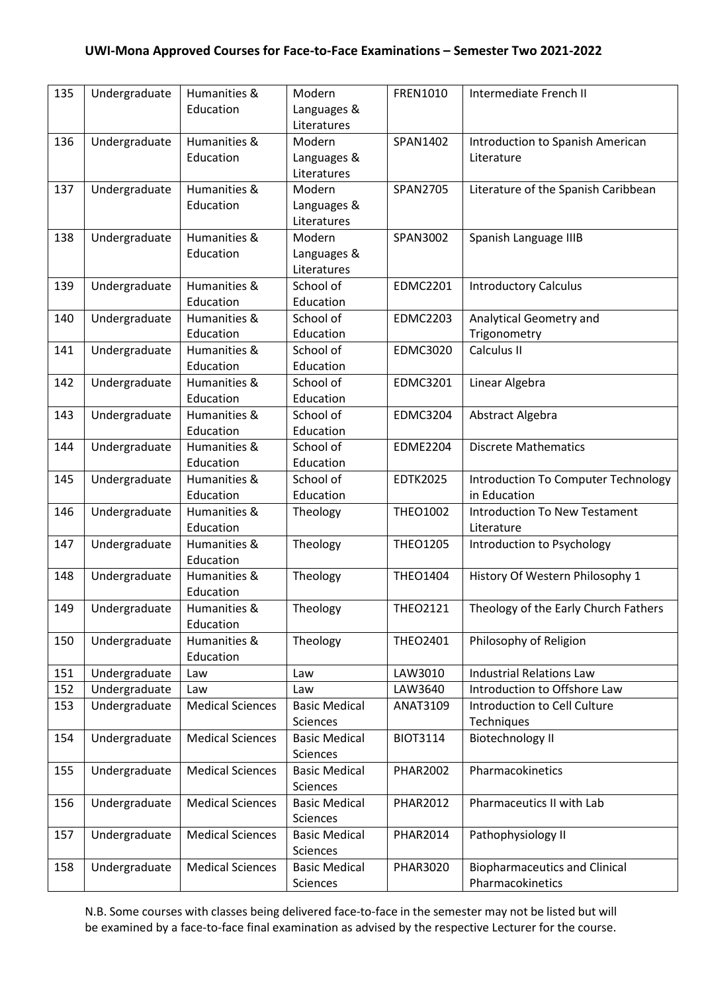| 135 | Undergraduate | Humanities &              | Modern                 | FREN1010        | Intermediate French II                     |
|-----|---------------|---------------------------|------------------------|-----------------|--------------------------------------------|
|     |               | Education                 | Languages &            |                 |                                            |
|     |               |                           | Literatures            |                 |                                            |
| 136 | Undergraduate | Humanities &              | Modern                 | SPAN1402        | Introduction to Spanish American           |
|     |               | Education                 | Languages &            |                 | Literature                                 |
|     |               |                           | Literatures            |                 |                                            |
| 137 | Undergraduate | Humanities &              | Modern                 | SPAN2705        | Literature of the Spanish Caribbean        |
|     |               | Education                 | Languages &            |                 |                                            |
|     |               |                           | Literatures            |                 |                                            |
| 138 | Undergraduate | Humanities &              | Modern                 | SPAN3002        | Spanish Language IIIB                      |
|     |               | Education                 | Languages &            |                 |                                            |
|     |               |                           | Literatures            |                 |                                            |
| 139 | Undergraduate | Humanities &              | School of              | <b>EDMC2201</b> | <b>Introductory Calculus</b>               |
|     |               | Education                 | Education              |                 |                                            |
| 140 | Undergraduate | Humanities &              | School of              | <b>EDMC2203</b> | Analytical Geometry and                    |
|     |               | Education                 | Education              |                 | Trigonometry                               |
| 141 | Undergraduate | Humanities &              | School of              | <b>EDMC3020</b> | Calculus II                                |
|     |               | Education                 | Education              |                 |                                            |
| 142 | Undergraduate | Humanities &              | School of              | <b>EDMC3201</b> | Linear Algebra                             |
|     |               | Education                 | Education              |                 |                                            |
| 143 | Undergraduate | Humanities &              | School of              | <b>EDMC3204</b> | Abstract Algebra                           |
| 144 |               | Education<br>Humanities & | Education<br>School of | <b>EDME2204</b> | <b>Discrete Mathematics</b>                |
|     | Undergraduate | Education                 | Education              |                 |                                            |
| 145 | Undergraduate | Humanities &              | School of              | <b>EDTK2025</b> | <b>Introduction To Computer Technology</b> |
|     |               | Education                 | Education              |                 | in Education                               |
| 146 | Undergraduate | Humanities &              | Theology               | <b>THEO1002</b> | <b>Introduction To New Testament</b>       |
|     |               | Education                 |                        |                 | Literature                                 |
| 147 | Undergraduate | Humanities &              | Theology               | <b>THEO1205</b> | Introduction to Psychology                 |
|     |               | Education                 |                        |                 |                                            |
| 148 | Undergraduate | Humanities &              | Theology               | <b>THEO1404</b> | History Of Western Philosophy 1            |
|     |               | Education                 |                        |                 |                                            |
| 149 | Undergraduate | Humanities &              | Theology               | <b>THEO2121</b> | Theology of the Early Church Fathers       |
|     |               | Education                 |                        |                 |                                            |
| 150 | Undergraduate | Humanities &              | Theology               | <b>THEO2401</b> | Philosophy of Religion                     |
|     |               | Education                 |                        |                 |                                            |
| 151 | Undergraduate | Law                       | Law                    | LAW3010         | <b>Industrial Relations Law</b>            |
| 152 | Undergraduate | Law                       | Law                    | LAW3640         | Introduction to Offshore Law               |
| 153 | Undergraduate | <b>Medical Sciences</b>   | <b>Basic Medical</b>   | ANAT3109        | Introduction to Cell Culture               |
|     |               |                           | Sciences               |                 | Techniques                                 |
| 154 | Undergraduate | <b>Medical Sciences</b>   | <b>Basic Medical</b>   | <b>BIOT3114</b> | <b>Biotechnology II</b>                    |
|     |               |                           | Sciences               |                 |                                            |
| 155 | Undergraduate | <b>Medical Sciences</b>   | <b>Basic Medical</b>   | <b>PHAR2002</b> | Pharmacokinetics                           |
|     |               |                           | Sciences               |                 |                                            |
| 156 | Undergraduate | <b>Medical Sciences</b>   | <b>Basic Medical</b>   | <b>PHAR2012</b> | Pharmaceutics II with Lab                  |
|     |               |                           | Sciences               |                 |                                            |
| 157 | Undergraduate | <b>Medical Sciences</b>   | <b>Basic Medical</b>   | <b>PHAR2014</b> | Pathophysiology II                         |
|     |               |                           | Sciences               |                 |                                            |
| 158 | Undergraduate | <b>Medical Sciences</b>   | <b>Basic Medical</b>   | <b>PHAR3020</b> | <b>Biopharmaceutics and Clinical</b>       |
|     |               |                           | Sciences               |                 | Pharmacokinetics                           |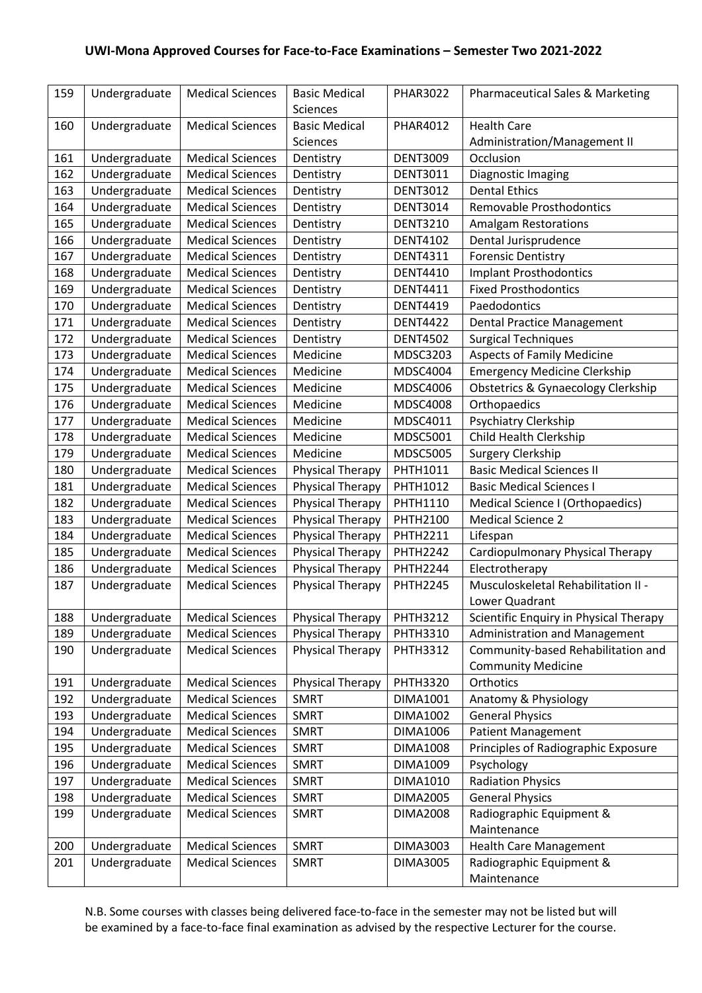| 159 | Undergraduate | <b>Medical Sciences</b> | <b>Basic Medical</b>    | <b>PHAR3022</b> | Pharmaceutical Sales & Marketing       |
|-----|---------------|-------------------------|-------------------------|-----------------|----------------------------------------|
|     |               |                         | <b>Sciences</b>         |                 |                                        |
| 160 | Undergraduate | <b>Medical Sciences</b> | <b>Basic Medical</b>    | <b>PHAR4012</b> | <b>Health Care</b>                     |
|     |               |                         | Sciences                |                 | Administration/Management II           |
| 161 | Undergraduate | <b>Medical Sciences</b> | Dentistry               | <b>DENT3009</b> | Occlusion                              |
| 162 | Undergraduate | <b>Medical Sciences</b> | Dentistry               | <b>DENT3011</b> | Diagnostic Imaging                     |
| 163 | Undergraduate | <b>Medical Sciences</b> | Dentistry               | <b>DENT3012</b> | <b>Dental Ethics</b>                   |
| 164 | Undergraduate | <b>Medical Sciences</b> | Dentistry               | <b>DENT3014</b> | <b>Removable Prosthodontics</b>        |
| 165 | Undergraduate | <b>Medical Sciences</b> | Dentistry               | <b>DENT3210</b> | <b>Amalgam Restorations</b>            |
| 166 | Undergraduate | <b>Medical Sciences</b> | Dentistry               | <b>DENT4102</b> | Dental Jurisprudence                   |
| 167 | Undergraduate | <b>Medical Sciences</b> | Dentistry               | <b>DENT4311</b> | <b>Forensic Dentistry</b>              |
| 168 | Undergraduate | <b>Medical Sciences</b> | Dentistry               | <b>DENT4410</b> | <b>Implant Prosthodontics</b>          |
| 169 | Undergraduate | <b>Medical Sciences</b> | Dentistry               | <b>DENT4411</b> | <b>Fixed Prosthodontics</b>            |
| 170 | Undergraduate | <b>Medical Sciences</b> | Dentistry               | <b>DENT4419</b> | Paedodontics                           |
| 171 | Undergraduate | <b>Medical Sciences</b> | Dentistry               | <b>DENT4422</b> | <b>Dental Practice Management</b>      |
| 172 | Undergraduate | <b>Medical Sciences</b> | Dentistry               | <b>DENT4502</b> | <b>Surgical Techniques</b>             |
| 173 | Undergraduate | <b>Medical Sciences</b> | Medicine                | MDSC3203        | <b>Aspects of Family Medicine</b>      |
| 174 | Undergraduate | <b>Medical Sciences</b> | Medicine                | <b>MDSC4004</b> | <b>Emergency Medicine Clerkship</b>    |
| 175 | Undergraduate | <b>Medical Sciences</b> | Medicine                | <b>MDSC4006</b> | Obstetrics & Gynaecology Clerkship     |
| 176 | Undergraduate | <b>Medical Sciences</b> | Medicine                | <b>MDSC4008</b> | Orthopaedics                           |
| 177 | Undergraduate | <b>Medical Sciences</b> | Medicine                | MDSC4011        | Psychiatry Clerkship                   |
| 178 | Undergraduate | <b>Medical Sciences</b> | Medicine                | <b>MDSC5001</b> | Child Health Clerkship                 |
| 179 | Undergraduate | <b>Medical Sciences</b> | Medicine                | <b>MDSC5005</b> | Surgery Clerkship                      |
| 180 | Undergraduate | <b>Medical Sciences</b> | <b>Physical Therapy</b> | PHTH1011        | <b>Basic Medical Sciences II</b>       |
| 181 | Undergraduate | <b>Medical Sciences</b> | <b>Physical Therapy</b> | PHTH1012        | <b>Basic Medical Sciences I</b>        |
| 182 | Undergraduate | <b>Medical Sciences</b> | Physical Therapy        | PHTH1110        | Medical Science I (Orthopaedics)       |
| 183 | Undergraduate | <b>Medical Sciences</b> | <b>Physical Therapy</b> | <b>PHTH2100</b> | <b>Medical Science 2</b>               |
| 184 | Undergraduate | <b>Medical Sciences</b> | <b>Physical Therapy</b> | <b>PHTH2211</b> | Lifespan                               |
| 185 | Undergraduate | <b>Medical Sciences</b> | <b>Physical Therapy</b> | <b>PHTH2242</b> | Cardiopulmonary Physical Therapy       |
| 186 | Undergraduate | <b>Medical Sciences</b> | <b>Physical Therapy</b> | <b>PHTH2244</b> | Electrotherapy                         |
| 187 | Undergraduate | <b>Medical Sciences</b> | Physical Therapy        | <b>PHTH2245</b> | Musculoskeletal Rehabilitation II -    |
|     |               |                         |                         |                 | Lower Quadrant                         |
| 188 | Undergraduate | <b>Medical Sciences</b> | Physical Therapy        | <b>PHTH3212</b> | Scientific Enquiry in Physical Therapy |
| 189 | Undergraduate | <b>Medical Sciences</b> | Physical Therapy        | <b>PHTH3310</b> | <b>Administration and Management</b>   |
| 190 | Undergraduate | <b>Medical Sciences</b> | Physical Therapy        | <b>PHTH3312</b> | Community-based Rehabilitation and     |
|     |               |                         |                         |                 | <b>Community Medicine</b>              |
| 191 | Undergraduate | <b>Medical Sciences</b> | Physical Therapy        | <b>PHTH3320</b> | Orthotics                              |
| 192 | Undergraduate | <b>Medical Sciences</b> | <b>SMRT</b>             | DIMA1001        | Anatomy & Physiology                   |
| 193 | Undergraduate | <b>Medical Sciences</b> | <b>SMRT</b>             | <b>DIMA1002</b> | <b>General Physics</b>                 |
| 194 | Undergraduate | <b>Medical Sciences</b> | <b>SMRT</b>             | DIMA1006        | <b>Patient Management</b>              |
| 195 | Undergraduate | <b>Medical Sciences</b> | <b>SMRT</b>             | DIMA1008        | Principles of Radiographic Exposure    |
| 196 | Undergraduate | <b>Medical Sciences</b> | <b>SMRT</b>             | DIMA1009        | Psychology                             |
| 197 | Undergraduate | <b>Medical Sciences</b> | <b>SMRT</b>             | DIMA1010        | <b>Radiation Physics</b>               |
| 198 | Undergraduate | <b>Medical Sciences</b> | <b>SMRT</b>             | <b>DIMA2005</b> | <b>General Physics</b>                 |
| 199 | Undergraduate | <b>Medical Sciences</b> | <b>SMRT</b>             | <b>DIMA2008</b> | Radiographic Equipment &               |
|     |               |                         |                         |                 | Maintenance                            |
| 200 | Undergraduate | <b>Medical Sciences</b> | <b>SMRT</b>             | DIMA3003        | <b>Health Care Management</b>          |
| 201 | Undergraduate | <b>Medical Sciences</b> | <b>SMRT</b>             | DIMA3005        | Radiographic Equipment &               |
|     |               |                         |                         |                 | Maintenance                            |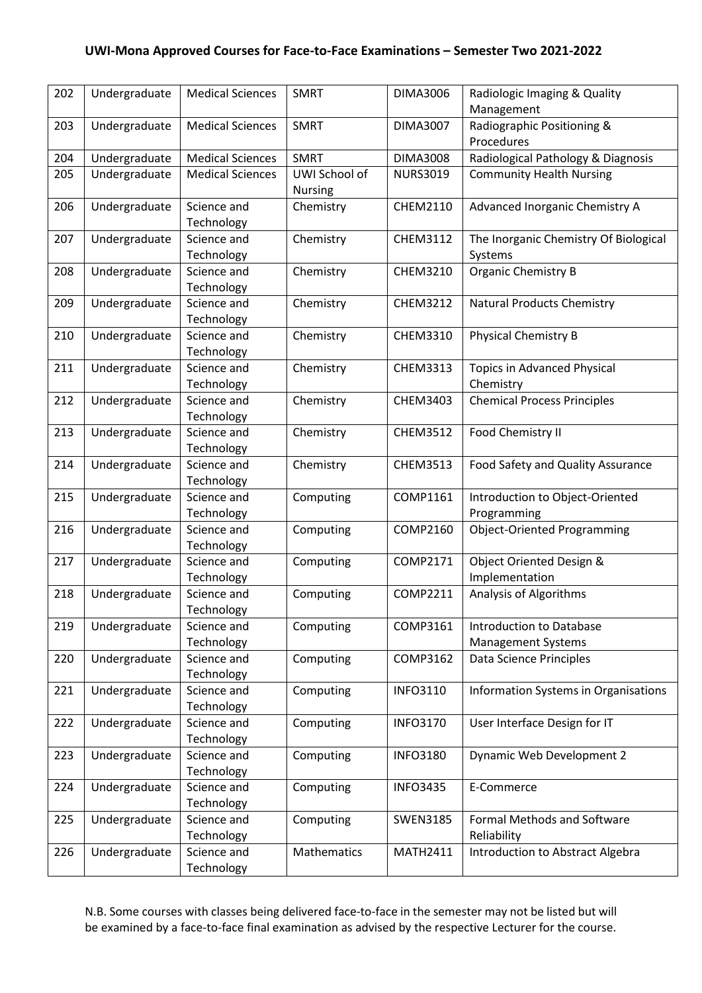| 202 | Undergraduate | <b>Medical Sciences</b> | <b>SMRT</b>    | <b>DIMA3006</b> | Radiologic Imaging & Quality<br>Management |
|-----|---------------|-------------------------|----------------|-----------------|--------------------------------------------|
| 203 | Undergraduate | <b>Medical Sciences</b> | <b>SMRT</b>    | <b>DIMA3007</b> | Radiographic Positioning &<br>Procedures   |
| 204 | Undergraduate | <b>Medical Sciences</b> | <b>SMRT</b>    | <b>DIMA3008</b> | Radiological Pathology & Diagnosis         |
| 205 | Undergraduate | <b>Medical Sciences</b> | UWI School of  | <b>NURS3019</b> | <b>Community Health Nursing</b>            |
|     |               |                         | <b>Nursing</b> |                 |                                            |
| 206 | Undergraduate | Science and             | Chemistry      | CHEM2110        | Advanced Inorganic Chemistry A             |
|     |               | Technology              |                |                 |                                            |
| 207 | Undergraduate | Science and             | Chemistry      | CHEM3112        | The Inorganic Chemistry Of Biological      |
|     |               | Technology              |                |                 | Systems                                    |
| 208 | Undergraduate | Science and             | Chemistry      | CHEM3210        | <b>Organic Chemistry B</b>                 |
|     |               | Technology              |                |                 |                                            |
| 209 | Undergraduate | Science and             | Chemistry      | <b>CHEM3212</b> | <b>Natural Products Chemistry</b>          |
|     |               | Technology              |                |                 |                                            |
| 210 | Undergraduate | Science and             | Chemistry      | CHEM3310        | <b>Physical Chemistry B</b>                |
|     |               | Technology              |                |                 |                                            |
| 211 | Undergraduate | Science and             | Chemistry      | <b>CHEM3313</b> | <b>Topics in Advanced Physical</b>         |
|     |               | Technology              |                |                 | Chemistry                                  |
| 212 | Undergraduate | Science and             | Chemistry      | CHEM3403        | <b>Chemical Process Principles</b>         |
|     |               | Technology              |                |                 |                                            |
| 213 | Undergraduate | Science and             | Chemistry      | <b>CHEM3512</b> | Food Chemistry II                          |
|     |               | Technology              |                |                 |                                            |
| 214 | Undergraduate | Science and             | Chemistry      | <b>CHEM3513</b> | Food Safety and Quality Assurance          |
|     |               | Technology              |                |                 |                                            |
| 215 | Undergraduate | Science and             | Computing      | COMP1161        | Introduction to Object-Oriented            |
|     |               | Technology              |                |                 | Programming                                |
| 216 | Undergraduate | Science and             | Computing      | COMP2160        | <b>Object-Oriented Programming</b>         |
|     |               | Technology              |                |                 |                                            |
| 217 | Undergraduate | Science and             | Computing      | <b>COMP2171</b> | Object Oriented Design &                   |
|     |               | Technology              |                |                 | Implementation                             |
| 218 | Undergraduate | Science and             | Computing      | <b>COMP2211</b> | <b>Analysis of Algorithms</b>              |
|     |               | Technology              |                |                 |                                            |
| 219 | Undergraduate | Science and             | Computing      | COMP3161        | <b>Introduction to Database</b>            |
|     |               | Technology              |                |                 | <b>Management Systems</b>                  |
| 220 | Undergraduate | Science and             | Computing      | COMP3162        | Data Science Principles                    |
|     |               | Technology              |                |                 |                                            |
| 221 | Undergraduate | Science and             | Computing      | <b>INFO3110</b> | Information Systems in Organisations       |
|     |               | Technology              |                |                 |                                            |
| 222 | Undergraduate | Science and             | Computing      | <b>INFO3170</b> | User Interface Design for IT               |
|     |               | Technology              |                |                 |                                            |
| 223 | Undergraduate | Science and             | Computing      | <b>INFO3180</b> | Dynamic Web Development 2                  |
|     |               | Technology              |                |                 |                                            |
| 224 | Undergraduate | Science and             | Computing      | <b>INFO3435</b> | E-Commerce                                 |
|     |               | Technology              |                |                 |                                            |
| 225 | Undergraduate | Science and             | Computing      | <b>SWEN3185</b> | Formal Methods and Software                |
|     |               | Technology              |                |                 | Reliability                                |
| 226 | Undergraduate | Science and             | Mathematics    | <b>MATH2411</b> | Introduction to Abstract Algebra           |
|     |               | Technology              |                |                 |                                            |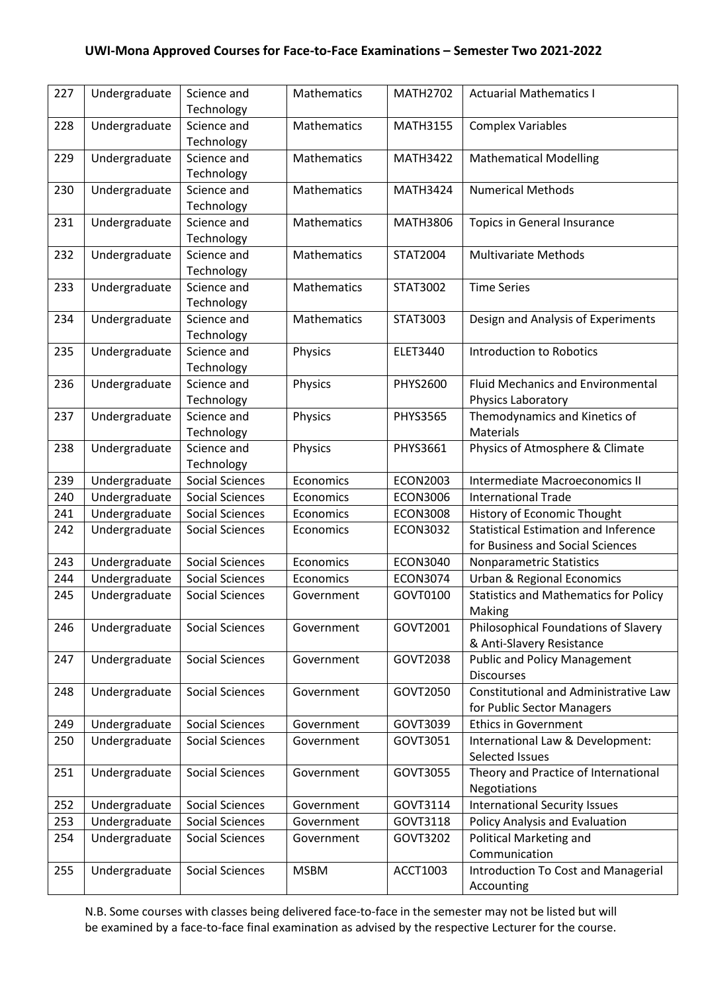| 227 | Undergraduate | Science and<br>Technology | Mathematics        | <b>MATH2702</b> | <b>Actuarial Mathematics I</b>                         |
|-----|---------------|---------------------------|--------------------|-----------------|--------------------------------------------------------|
|     |               |                           |                    |                 |                                                        |
| 228 | Undergraduate | Science and<br>Technology | <b>Mathematics</b> | <b>MATH3155</b> | <b>Complex Variables</b>                               |
| 229 | Undergraduate | Science and               | <b>Mathematics</b> | <b>MATH3422</b> | <b>Mathematical Modelling</b>                          |
|     |               | Technology                |                    |                 |                                                        |
| 230 | Undergraduate | Science and               | <b>Mathematics</b> | <b>MATH3424</b> | <b>Numerical Methods</b>                               |
|     |               | Technology                |                    |                 |                                                        |
| 231 | Undergraduate | Science and               | Mathematics        | <b>MATH3806</b> | Topics in General Insurance                            |
|     |               | Technology                |                    |                 |                                                        |
| 232 | Undergraduate | Science and               | Mathematics        | STAT2004        | <b>Multivariate Methods</b>                            |
|     |               | Technology                |                    |                 |                                                        |
| 233 | Undergraduate | Science and               | <b>Mathematics</b> | STAT3002        | <b>Time Series</b>                                     |
|     |               | Technology                |                    |                 |                                                        |
| 234 | Undergraduate | Science and               | <b>Mathematics</b> | STAT3003        | Design and Analysis of Experiments                     |
|     |               | Technology                |                    |                 |                                                        |
| 235 | Undergraduate | Science and               | Physics            | <b>ELET3440</b> | <b>Introduction to Robotics</b>                        |
|     |               | Technology                |                    |                 |                                                        |
| 236 | Undergraduate | Science and               | Physics            | PHYS2600        | <b>Fluid Mechanics and Environmental</b>               |
|     |               | Technology                |                    |                 | Physics Laboratory                                     |
| 237 | Undergraduate | Science and               | Physics            | <b>PHYS3565</b> | Themodynamics and Kinetics of                          |
|     |               | Technology                |                    |                 | <b>Materials</b>                                       |
| 238 | Undergraduate | Science and               | Physics            | PHYS3661        | Physics of Atmosphere & Climate                        |
|     |               | Technology                |                    |                 |                                                        |
| 239 | Undergraduate | <b>Social Sciences</b>    | Economics          | <b>ECON2003</b> | Intermediate Macroeconomics II                         |
| 240 | Undergraduate | <b>Social Sciences</b>    | Economics          | <b>ECON3006</b> | <b>International Trade</b>                             |
| 241 | Undergraduate | <b>Social Sciences</b>    | Economics          | <b>ECON3008</b> | History of Economic Thought                            |
| 242 | Undergraduate | <b>Social Sciences</b>    | Economics          | <b>ECON3032</b> | <b>Statistical Estimation and Inference</b>            |
|     |               |                           |                    |                 | for Business and Social Sciences                       |
| 243 | Undergraduate | <b>Social Sciences</b>    | Economics          | <b>ECON3040</b> | Nonparametric Statistics                               |
| 244 | Undergraduate | <b>Social Sciences</b>    | Economics          | <b>ECON3074</b> | <b>Urban &amp; Regional Economics</b>                  |
| 245 | Undergraduate | <b>Social Sciences</b>    | Government         | GOVT0100        | <b>Statistics and Mathematics for Policy</b><br>Making |
| 246 | Undergraduate | Social Sciences           | Government         | GOVT2001        | Philosophical Foundations of Slavery                   |
|     |               |                           |                    |                 | & Anti-Slavery Resistance                              |
| 247 | Undergraduate | Social Sciences           | Government         | GOVT2038        | <b>Public and Policy Management</b>                    |
|     |               |                           |                    |                 | <b>Discourses</b>                                      |
| 248 | Undergraduate | Social Sciences           | Government         | GOVT2050        | Constitutional and Administrative Law                  |
|     |               |                           |                    |                 | for Public Sector Managers                             |
| 249 | Undergraduate | <b>Social Sciences</b>    | Government         | GOVT3039        | <b>Ethics in Government</b>                            |
| 250 | Undergraduate | Social Sciences           | Government         | GOVT3051        | International Law & Development:                       |
|     |               |                           |                    |                 | Selected Issues                                        |
| 251 | Undergraduate | <b>Social Sciences</b>    | Government         | GOVT3055        | Theory and Practice of International                   |
|     |               |                           |                    |                 | Negotiations                                           |
| 252 | Undergraduate | Social Sciences           | Government         | GOVT3114        | <b>International Security Issues</b>                   |
| 253 | Undergraduate | <b>Social Sciences</b>    | Government         | GOVT3118        | Policy Analysis and Evaluation                         |
| 254 | Undergraduate | Social Sciences           | Government         | GOVT3202        | Political Marketing and                                |
|     |               |                           |                    |                 | Communication                                          |
| 255 | Undergraduate | <b>Social Sciences</b>    | <b>MSBM</b>        | ACCT1003        | Introduction To Cost and Managerial                    |
|     |               |                           |                    |                 | Accounting                                             |